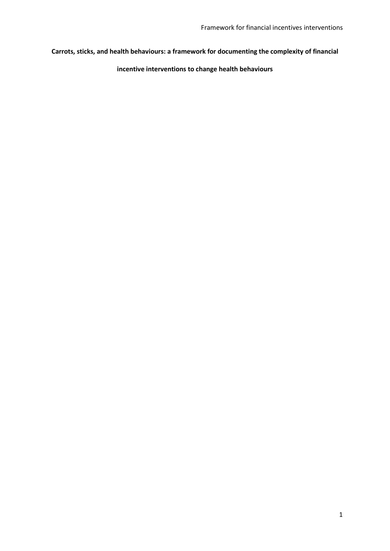# **Carrots, sticks, and health behaviours: a framework for documenting the complexity of financial**

**incentive interventions to change health behaviours**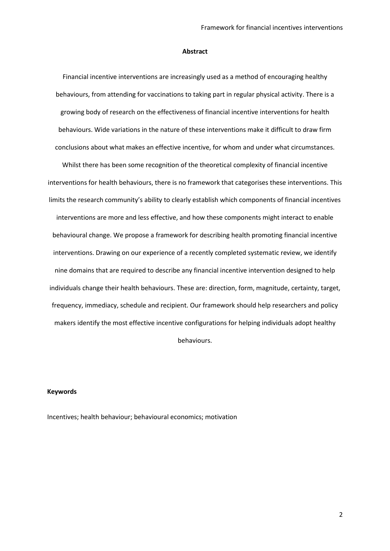#### **Abstract**

Financial incentive interventions are increasingly used as a method of encouraging healthy behaviours, from attending for vaccinations to taking part in regular physical activity. There is a growing body of research on the effectiveness of financial incentive interventions for health behaviours. Wide variations in the nature of these interventions make it difficult to draw firm conclusions about what makes an effective incentive, for whom and under what circumstances.

Whilst there has been some recognition of the theoretical complexity of financial incentive interventions for health behaviours, there is no framework that categorises these interventions. This limits the research community's ability to clearly establish which components of financial incentives interventions are more and less effective, and how these components might interact to enable behavioural change. We propose a framework for describing health promoting financial incentive interventions. Drawing on our experience of a recently completed systematic review, we identify nine domains that are required to describe any financial incentive intervention designed to help individuals change their health behaviours. These are: direction, form, magnitude, certainty, target, frequency, immediacy, schedule and recipient. Our framework should help researchers and policy makers identify the most effective incentive configurations for helping individuals adopt healthy behaviours.

#### **Keywords**

Incentives; health behaviour; behavioural economics; motivation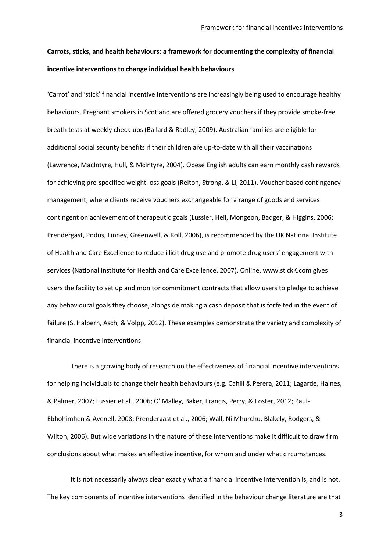# **Carrots, sticks, and health behaviours: a framework for documenting the complexity of financial incentive interventions to change individual health behaviours**

'Carrot' and 'stick' financial incentive interventions are increasingly being used to encourage healthy behaviours. Pregnant smokers in Scotland are offered grocery vouchers if they provide smoke-free breath tests at weekly check-ups [\(Ballard & Radley, 2009\)](#page-12-0). Australian families are eligible for additional social security benefits if their children are up-to-date with all their vaccinations [\(Lawrence, MacIntyre, Hull, & McIntyre, 2004\)](#page-14-0). Obese English adults can earn monthly cash rewards for achieving pre-specified weight loss goals [\(Relton, Strong, & Li, 2011\)](#page-16-0). Voucher based contingency management, where clients receive vouchers exchangeable for a range of goods and services contingent on achievement of therapeutic goals [\(Lussier, Heil, Mongeon, Badger, & Higgins, 2006;](#page-14-1) [Prendergast, Podus, Finney, Greenwell, & Roll, 2006\)](#page-16-1), is recommended by the UK National Institute of Health and Care Excellence to reduce illicit drug use and promote drug users' engagement with services [\(National Institute for Health and Care Excellence, 2007\)](#page-15-0). Online, [www.stickK.com](http://www.stickk.com/) gives users the facility to set up and monitor commitment contracts that allow users to pledge to achieve any behavioural goals they choose, alongside making a cash deposit that is forfeited in the event of failure [\(S. Halpern, Asch, & Volpp, 2012\)](#page-13-0). These examples demonstrate the variety and complexity of financial incentive interventions.

There is a growing body of research on the effectiveness of financial incentive interventions for helping individuals to change their health behaviours (e.g[. Cahill & Perera, 2011;](#page-13-1) [Lagarde, Haines,](#page-14-2)  [& Palmer, 2007;](#page-14-2) [Lussier et al., 2006;](#page-14-1) [O' Malley, Baker, Francis, Perry, & Foster, 2012;](#page-16-2) [Paul-](#page-16-3)[Ebhohimhen & Avenell, 2008;](#page-16-3) [Prendergast et al., 2006;](#page-16-1) [Wall, Ni Mhurchu, Blakely, Rodgers, &](#page-17-0)  [Wilton, 2006\)](#page-17-0). But wide variations in the nature of these interventions make it difficult to draw firm conclusions about what makes an effective incentive, for whom and under what circumstances.

It is not necessarily always clear exactly what a financial incentive intervention is, and is not. The key components of incentive interventions identified in the behaviour change literature are that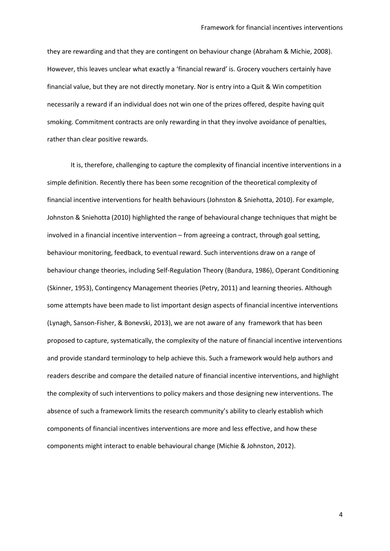they are rewarding and that they are contingent on behaviour change [\(Abraham & Michie, 2008\)](#page-12-1). However, this leaves unclear what exactly a 'financial reward' is. Grocery vouchers certainly have financial value, but they are not directly monetary. Nor is entry into a Quit & Win competition necessarily a reward if an individual does not win one of the prizes offered, despite having quit smoking. Commitment contracts are only rewarding in that they involve avoidance of penalties, rather than clear positive rewards.

It is, therefore, challenging to capture the complexity of financial incentive interventions in a simple definition. Recently there has been some recognition of the theoretical complexity of financial incentive interventions for health behaviours [\(Johnston & Sniehotta, 2010\)](#page-14-3). For example, Johnston & Sniehotta (2010) highlighted the range of behavioural change techniques that might be involved in a financial incentive intervention – from agreeing a contract, through goal setting, behaviour monitoring, feedback, to eventual reward. Such interventions draw on a range of behaviour change theories, including Self-Regulation Theory [\(Bandura, 1986\)](#page-12-2), Operant Conditioning [\(Skinner, 1953\)](#page-17-1), Contingency Management theories [\(Petry, 2011\)](#page-16-4) and learning theories. Although some attempts have been made to list important design aspects of financial incentive interventions [\(Lynagh, Sanson-Fisher, & Bonevski, 2013\)](#page-15-1), we are not aware of any framework that has been proposed to capture, systematically, the complexity of the nature of financial incentive interventions and provide standard terminology to help achieve this. Such a framework would help authors and readers describe and compare the detailed nature of financial incentive interventions, and highlight the complexity of such interventions to policy makers and those designing new interventions. The absence of such a framework limits the research community's ability to clearly establish which components of financial incentives interventions are more and less effective, and how these components might interact to enable behavioural change [\(Michie & Johnston, 2012\)](#page-15-2).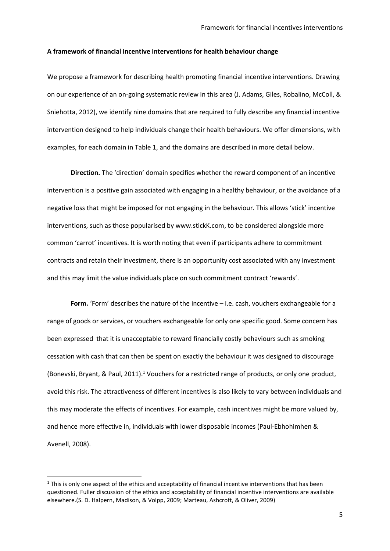#### **A framework of financial incentive interventions for health behaviour change**

We propose a framework for describing health promoting financial incentive interventions. Drawing on our experience of an on-going systematic review in this area [\(J. Adams, Giles, Robalino, McColl, &](#page-12-3)  [Sniehotta, 2012\)](#page-12-3), we identify nine domains that are required to fully describe any financial incentive intervention designed to help individuals change their health behaviours. We offer dimensions, with examples, for each domain in Table 1, and the domains are described in more detail below.

**Direction.** The 'direction' domain specifies whether the reward component of an incentive intervention is a positive gain associated with engaging in a healthy behaviour, or the avoidance of a negative loss that might be imposed for not engaging in the behaviour. This allows 'stick' incentive interventions, such as those popularised by www.stickK.com, to be considered alongside more common 'carrot' incentives. It is worth noting that even if participants adhere to commitment contracts and retain their investment, there is an opportunity cost associated with any investment and this may limit the value individuals place on such commitment contract 'rewards'.

Form. 'Form' describes the nature of the incentive - i.e. cash, vouchers exchangeable for a range of goods or services, or vouchers exchangeable for only one specific good. Some concern has been expressed that it is unacceptable to reward financially costly behaviours such as smoking cessation with cash that can then be spent on exactly the behaviour it was designed to discourage [\(Bonevski, Bryant, & Paul, 2011\)](#page-12-4).<sup>1</sup> Vouchers for a restricted range of products, or only one product, avoid this risk. The attractiveness of different incentives is also likely to vary between individuals and this may moderate the effects of incentives. For example, cash incentives might be more valued by, and hence more effective in, individuals with lower disposable incomes [\(Paul-Ebhohimhen &](#page-16-3)  [Avenell, 2008\)](#page-16-3).

**.** 

 $1$  This is only one aspect of the ethics and acceptability of financial incentive interventions that has been questioned. Fuller discussion of the ethics and acceptability of financial incentive interventions are available elsewhere.[\(S. D. Halpern, Madison, & Volpp, 2009;](#page-13-2) [Marteau, Ashcroft, & Oliver, 2009\)](#page-15-3)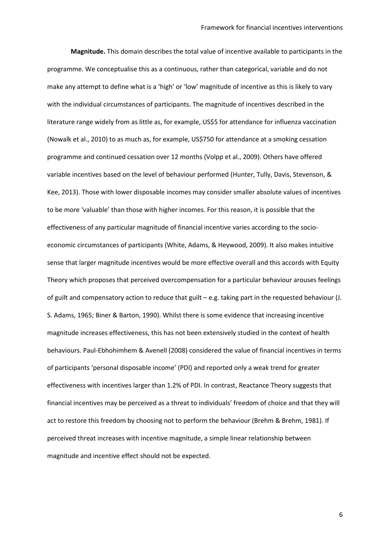**Magnitude.** This domain describes the total value of incentive available to participants in the programme. We conceptualise this as a continuous, rather than categorical, variable and do not make any attempt to define what is a 'high' or 'low' magnitude of incentive as this is likely to vary with the individual circumstances of participants. The magnitude of incentives described in the literature range widely from as little as, for example, US\$5 for attendance for influenza vaccination [\(Nowalk et al., 2010\)](#page-15-4) to as much as, for example, US\$750 for attendance at a smoking cessation programme and continued cessation over 12 months [\(Volpp et al., 2009\)](#page-17-2). Others have offered variable incentives based on the level of behaviour performed [\(Hunter, Tully, Davis, Stevenson, &](#page-14-4)  [Kee, 2013\)](#page-14-4). Those with lower disposable incomes may consider smaller absolute values of incentives to be more 'valuable' than those with higher incomes. For this reason, it is possible that the effectiveness of any particular magnitude of financial incentive varies according to the socioeconomic circumstances of participants [\(White, Adams, & Heywood, 2009\)](#page-17-3). It also makes intuitive sense that larger magnitude incentives would be more effective overall and this accords with Equity Theory which proposes that perceived overcompensation for a particular behaviour arouses feelings of guilt and compensatory action to reduce that guilt – e.g. taking part in the requested behaviour [\(J.](#page-12-5)  [S. Adams, 1965;](#page-12-5) [Biner & Barton, 1990\)](#page-12-6). Whilst there is some evidence that increasing incentive magnitude increases effectiveness, this has not been extensively studied in the context of health behaviours. Paul-Ebhohimhem & Avenell (2008) considered the value of financial incentives in terms of participants 'personal disposable income' (PDI) and reported only a weak trend for greater effectiveness with incentives larger than 1.2% of PDI. In contrast, Reactance Theory suggests that financial incentives may be perceived as a threat to individuals' freedom of choice and that they will act to restore this freedom by choosing not to perform the behaviour [\(Brehm & Brehm, 1981\)](#page-13-3). If perceived threat increases with incentive magnitude, a simple linear relationship between magnitude and incentive effect should not be expected.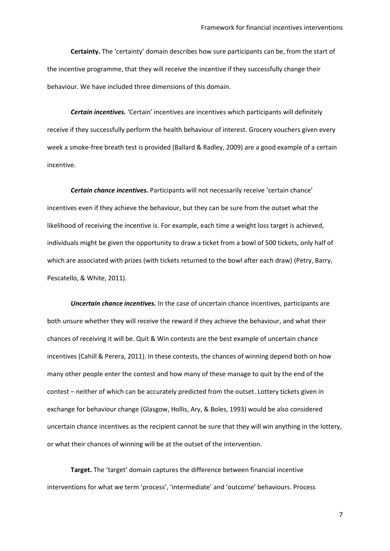**Certainty.** The 'certainty' domain describes how sure participants can be, from the start of the incentive programme, that they will receive the incentive if they successfully change their behaviour. We have included three dimensions of this domain.

*Certain incentives.* 'Certain' incentives are incentives which participants will definitely receive if they successfully perform the health behaviour of interest. Grocery vouchers given every week a smoke-free breath test is provided [\(Ballard & Radley, 2009\)](#page-12-0) are a good example of a certain incentive.

*Certain chance incentives.* Participants will not necessarily receive 'certain chance' incentives even if they achieve the behaviour, but they can be sure from the outset what the likelihood of receiving the incentive is. For example, each time a weight loss target is achieved, individuals might be given the opportunity to draw a ticket from a bowl of 500 tickets, only half of which are associated with prizes (with tickets returned to the bowl after each draw) [\(Petry, Barry,](#page-16-5)  [Pescatello, & White, 2011\)](#page-16-5).

*Uncertain chance incentives.* In the case of uncertain chance incentives, participants are both unsure whether they will receive the reward if they achieve the behaviour, and what their chances of receiving it will be. Quit & Win contests are the best example of uncertain chance incentives [\(Cahill & Perera, 2011\)](#page-13-1). In these contests, the chances of winning depend both on how many other people enter the contest and how many of these manage to quit by the end of the contest – neither of which can be accurately predicted from the outset. Lottery tickets given in exchange for behaviour change [\(Glasgow, Hollis, Ary, & Boles, 1993\)](#page-13-4) would be also considered uncertain chance incentives as the recipient cannot be sure that they will win anything in the lottery, or what their chances of winning will be at the outset of the intervention.

**Target.** The 'target' domain captures the difference between financial incentive interventions for what we term 'process', 'intermediate' and 'outcome' behaviours. Process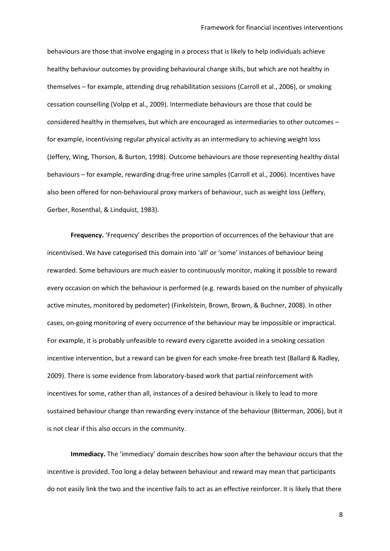behaviours are those that involve engaging in a process that is likely to help individuals achieve healthy behaviour outcomes by providing behavioural change skills, but which are not healthy in themselves – for example, attending drug rehabilitation sessions [\(Carroll et al., 2006\)](#page-13-5), or smoking cessation counselling [\(Volpp et al., 2009\)](#page-17-2). Intermediate behaviours are those that could be considered healthy in themselves, but which are encouraged as intermediaries to other outcomes – for example, incentivising regular physical activity as an intermediary to achieving weight loss [\(Jeffery, Wing, Thorson, & Burton, 1998\)](#page-14-5). Outcome behaviours are those representing healthy distal behaviours – for example, rewarding drug-free urine samples [\(Carroll et al., 2006\)](#page-13-5). Incentives have also been offered for non-behavioural proxy markers of behaviour, such as weight loss [\(Jeffery,](#page-14-6)  [Gerber, Rosenthal, & Lindquist, 1983\)](#page-14-6).

**Frequency.** 'Frequency' describes the proportion of occurrences of the behaviour that are incentivised. We have categorised this domain into 'all' or 'some' instances of behaviour being rewarded. Some behaviours are much easier to continuously monitor, making it possible to reward every occasion on which the behaviour is performed (e.g. rewards based on the number of physically active minutes, monitored by pedometer) [\(Finkelstein, Brown, Brown, & Buchner, 2008\)](#page-13-6). In other cases, on-going monitoring of every occurrence of the behaviour may be impossible or impractical. For example, it is probably unfeasible to reward every cigarette avoided in a smoking cessation incentive intervention, but a reward can be given for each smoke-free breath test [\(Ballard & Radley,](#page-12-0)  [2009\)](#page-12-0). There is some evidence from laboratory-based work that partial reinforcement with incentives for some, rather than all, instances of a desired behaviour is likely to lead to more sustained behaviour change than rewarding every instance of the behaviour [\(Bitterman, 2006\)](#page-12-7), but it is not clear if this also occurs in the community.

**Immediacy.** The 'immediacy' domain describes how soon after the behaviour occurs that the incentive is provided. Too long a delay between behaviour and reward may mean that participants do not easily link the two and the incentive fails to act as an effective reinforcer. It is likely that there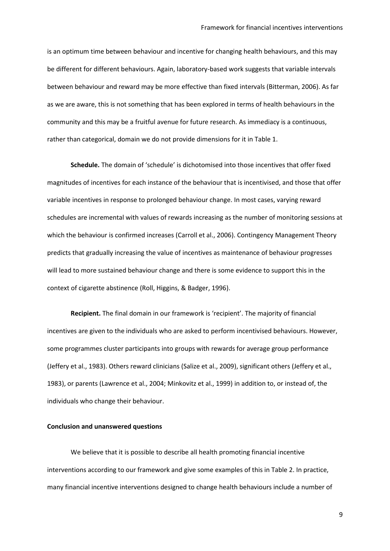is an optimum time between behaviour and incentive for changing health behaviours, and this may be different for different behaviours. Again, laboratory-based work suggests that variable intervals between behaviour and reward may be more effective than fixed intervals [\(Bitterman, 2006\)](#page-12-7). As far as we are aware, this is not something that has been explored in terms of health behaviours in the community and this may be a fruitful avenue for future research. As immediacy is a continuous, rather than categorical, domain we do not provide dimensions for it in Table 1.

**Schedule.** The domain of 'schedule' is dichotomised into those incentives that offer fixed magnitudes of incentives for each instance of the behaviour that is incentivised, and those that offer variable incentives in response to prolonged behaviour change. In most cases, varying reward schedules are incremental with values of rewards increasing as the number of monitoring sessions at which the behaviour is confirmed increases [\(Carroll et al., 2006\)](#page-13-5). Contingency Management Theory predicts that gradually increasing the value of incentives as maintenance of behaviour progresses will lead to more sustained behaviour change and there is some evidence to support this in the context of cigarette abstinence [\(Roll, Higgins, & Badger, 1996\)](#page-16-6).

**Recipient.** The final domain in our framework is 'recipient'. The majority of financial incentives are given to the individuals who are asked to perform incentivised behaviours. However, some programmes cluster participants into groups with rewards for average group performance [\(Jeffery et al., 1983\)](#page-14-6). Others reward clinicians [\(Salize et al., 2009\)](#page-17-4), significant others [\(Jeffery et al.,](#page-14-6)  [1983\)](#page-14-6), or parents [\(Lawrence et al., 2004;](#page-14-0) [Minkovitz et al., 1999\)](#page-15-5) in addition to, or instead of, the individuals who change their behaviour.

#### **Conclusion and unanswered questions**

We believe that it is possible to describe all health promoting financial incentive interventions according to our framework and give some examples of this in Table 2. In practice, many financial incentive interventions designed to change health behaviours include a number of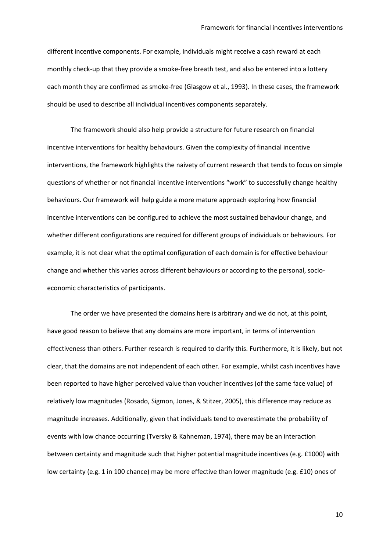different incentive components. For example, individuals might receive a cash reward at each monthly check-up that they provide a smoke-free breath test, and also be entered into a lottery each month they are confirmed as smoke-free [\(Glasgow et al., 1993\)](#page-13-4). In these cases, the framework should be used to describe all individual incentives components separately.

The framework should also help provide a structure for future research on financial incentive interventions for healthy behaviours. Given the complexity of financial incentive interventions, the framework highlights the naivety of current research that tends to focus on simple questions of whether or not financial incentive interventions "work" to successfully change healthy behaviours. Our framework will help guide a more mature approach exploring how financial incentive interventions can be configured to achieve the most sustained behaviour change, and whether different configurations are required for different groups of individuals or behaviours. For example, it is not clear what the optimal configuration of each domain is for effective behaviour change and whether this varies across different behaviours or according to the personal, socioeconomic characteristics of participants.

The order we have presented the domains here is arbitrary and we do not, at this point, have good reason to believe that any domains are more important, in terms of intervention effectiveness than others. Further research is required to clarify this. Furthermore, it is likely, but not clear, that the domains are not independent of each other. For example, whilst cash incentives have been reported to have higher perceived value than voucher incentives (of the same face value) of relatively low magnitudes [\(Rosado, Sigmon, Jones, & Stitzer, 2005\)](#page-16-7), this difference may reduce as magnitude increases. Additionally, given that individuals tend to overestimate the probability of events with low chance occurring [\(Tversky & Kahneman, 1974\)](#page-17-5), there may be an interaction between certainty and magnitude such that higher potential magnitude incentives (e.g. £1000) with low certainty (e.g. 1 in 100 chance) may be more effective than lower magnitude (e.g. £10) ones of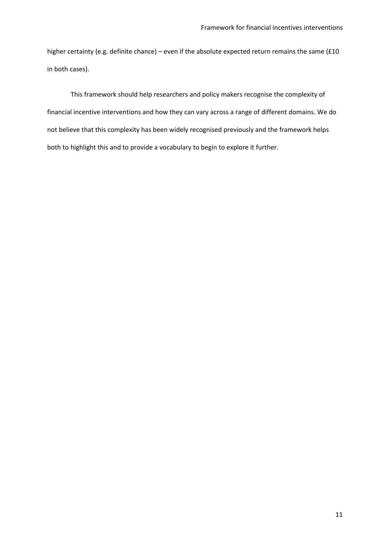higher certainty (e.g. definite chance) – even if the absolute expected return remains the same (£10 in both cases).

This framework should help researchers and policy makers recognise the complexity of financial incentive interventions and how they can vary across a range of different domains. We do not believe that this complexity has been widely recognised previously and the framework helps both to highlight this and to provide a vocabulary to begin to explore it further.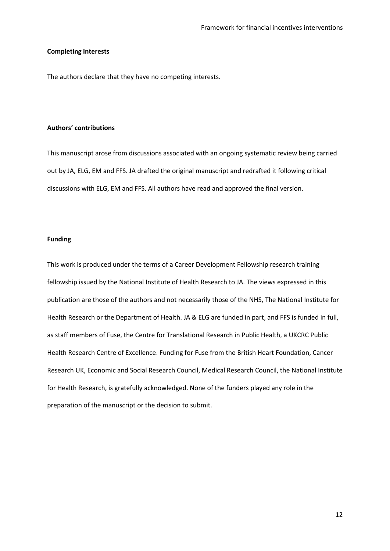#### **Completing interests**

The authors declare that they have no competing interests.

### **Authors' contributions**

This manuscript arose from discussions associated with an ongoing systematic review being carried out by JA, ELG, EM and FFS. JA drafted the original manuscript and redrafted it following critical discussions with ELG, EM and FFS. All authors have read and approved the final version.

#### **Funding**

This work is produced under the terms of a Career Development Fellowship research training fellowship issued by the National Institute of Health Research to JA. The views expressed in this publication are those of the authors and not necessarily those of the NHS, The National Institute for Health Research or the Department of Health. JA & ELG are funded in part, and FFS is funded in full, as staff members of Fuse, the Centre for Translational Research in Public Health, a UKCRC Public Health Research Centre of Excellence. Funding for Fuse from the British Heart Foundation, Cancer Research UK, Economic and Social Research Council, Medical Research Council, the National Institute for Health Research, is gratefully acknowledged. None of the funders played any role in the preparation of the manuscript or the decision to submit.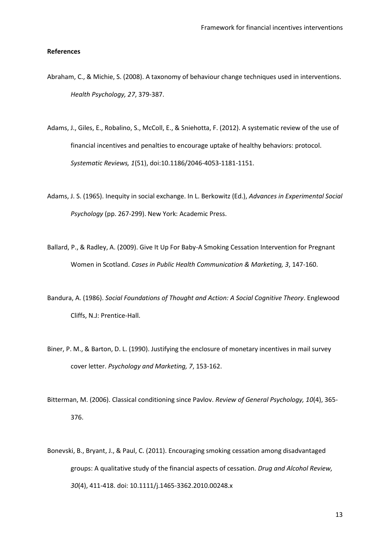#### **References**

- <span id="page-12-8"></span><span id="page-12-1"></span>Abraham, C., & Michie, S. (2008). A taxonomy of behaviour change techniques used in interventions. *Health Psychology, 27*, 379-387.
- <span id="page-12-3"></span>Adams, J., Giles, E., Robalino, S., McColl, E., & Sniehotta, F. (2012). A systematic review of the use of financial incentives and penalties to encourage uptake of healthy behaviors: protocol. *Systematic Reviews, 1*(51), doi:10.1186/2046-4053-1181-1151.
- <span id="page-12-5"></span>Adams, J. S. (1965). Inequity in social exchange. In L. Berkowitz (Ed.), *Advances in Experimental Social Psychology* (pp. 267-299). New York: Academic Press.
- <span id="page-12-0"></span>Ballard, P., & Radley, A. (2009). Give It Up For Baby-A Smoking Cessation Intervention for Pregnant Women in Scotland. *Cases in Public Health Communication & Marketing, 3*, 147-160.
- <span id="page-12-2"></span>Bandura, A. (1986). *Social Foundations of Thought and Action: A Social Cognitive Theory*. Englewood Cliffs, N.J: Prentice-Hall.
- <span id="page-12-6"></span>Biner, P. M., & Barton, D. L. (1990). Justifying the enclosure of monetary incentives in mail survey cover letter. *Psychology and Marketing, 7*, 153-162.
- <span id="page-12-7"></span>Bitterman, M. (2006). Classical conditioning since Pavlov. *Review of General Psychology, 10*(4), 365- 376.
- <span id="page-12-4"></span>Bonevski, B., Bryant, J., & Paul, C. (2011). Encouraging smoking cessation among disadvantaged groups: A qualitative study of the financial aspects of cessation. *Drug and Alcohol Review, 30*(4), 411-418. doi: 10.1111/j.1465-3362.2010.00248.x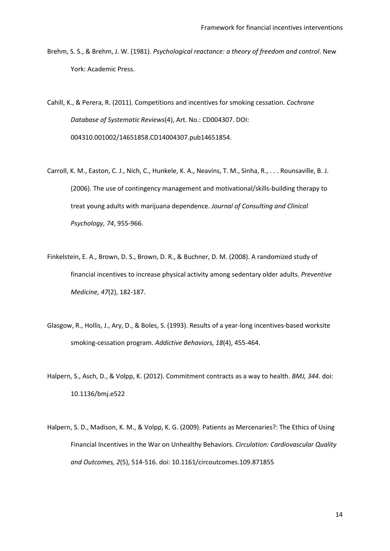<span id="page-13-8"></span><span id="page-13-7"></span><span id="page-13-3"></span>Brehm, S. S., & Brehm, J. W. (1981). *Psychological reactance: a theory of freedom and control*. New York: Academic Press.

<span id="page-13-9"></span><span id="page-13-1"></span>Cahill, K., & Perera, R. (2011). Competitions and incentives for smoking cessation. *Cochrane Database of Systematic Reviews*(4), Art. No.: CD004307. DOI: 004310.001002/14651858.CD14004307.pub14651854.

- <span id="page-13-5"></span>Carroll, K. M., Easton, C. J., Nich, C., Hunkele, K. A., Neavins, T. M., Sinha, R., . . . Rounsaville, B. J. (2006). The use of contingency management and motivational/skills-building therapy to treat young adults with marijuana dependence. *Journal of Consulting and Clinical Psychology, 74*, 955-966.
- <span id="page-13-6"></span>Finkelstein, E. A., Brown, D. S., Brown, D. R., & Buchner, D. M. (2008). A randomized study of financial incentives to increase physical activity among sedentary older adults. *Preventive Medicine, 47*(2), 182-187.
- <span id="page-13-4"></span>Glasgow, R., Hollis, J., Ary, D., & Boles, S. (1993). Results of a year-long incentives-based worksite smoking-cessation program. *Addictive Behaviors, 18*(4), 455-464.
- <span id="page-13-0"></span>Halpern, S., Asch, D., & Volpp, K. (2012). Commitment contracts as a way to health. *BMJ, 344*. doi: 10.1136/bmj.e522
- <span id="page-13-2"></span>Halpern, S. D., Madison, K. M., & Volpp, K. G. (2009). Patients as Mercenaries?: The Ethics of Using Financial Incentives in the War on Unhealthy Behaviors. *Circulation: Cardiovascular Quality and Outcomes, 2*(5), 514-516. doi: 10.1161/circoutcomes.109.871855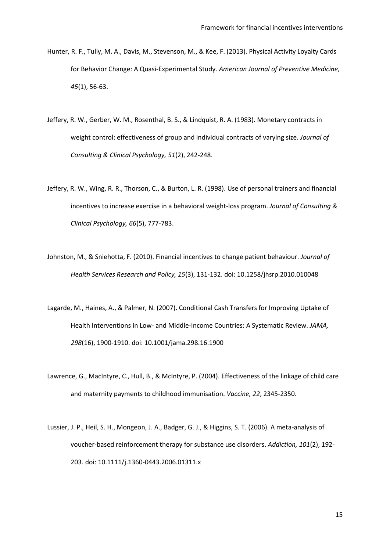- <span id="page-14-9"></span><span id="page-14-8"></span><span id="page-14-4"></span>Hunter, R. F., Tully, M. A., Davis, M., Stevenson, M., & Kee, F. (2013). Physical Activity Loyalty Cards for Behavior Change: A Quasi-Experimental Study. *American Journal of Preventive Medicine, 45*(1), 56-63.
- <span id="page-14-6"></span>Jeffery, R. W., Gerber, W. M., Rosenthal, B. S., & Lindquist, R. A. (1983). Monetary contracts in weight control: effectiveness of group and individual contracts of varying size. *Journal of Consulting & Clinical Psychology, 51*(2), 242-248.
- <span id="page-14-7"></span><span id="page-14-5"></span>Jeffery, R. W., Wing, R. R., Thorson, C., & Burton, L. R. (1998). Use of personal trainers and financial incentives to increase exercise in a behavioral weight-loss program. *Journal of Consulting & Clinical Psychology, 66*(5), 777-783.
- <span id="page-14-3"></span>Johnston, M., & Sniehotta, F. (2010). Financial incentives to change patient behaviour. *Journal of Health Services Research and Policy, 15*(3), 131-132. doi: 10.1258/jhsrp.2010.010048
- <span id="page-14-2"></span>Lagarde, M., Haines, A., & Palmer, N. (2007). Conditional Cash Transfers for Improving Uptake of Health Interventions in Low- and Middle-Income Countries: A Systematic Review. *JAMA, 298*(16), 1900-1910. doi: 10.1001/jama.298.16.1900
- <span id="page-14-0"></span>Lawrence, G., MacIntyre, C., Hull, B., & McIntyre, P. (2004). Effectiveness of the linkage of child care and maternity payments to childhood immunisation. *Vaccine, 22*, 2345-2350.
- <span id="page-14-1"></span>Lussier, J. P., Heil, S. H., Mongeon, J. A., Badger, G. J., & Higgins, S. T. (2006). A meta-analysis of voucher-based reinforcement therapy for substance use disorders. *Addiction, 101*(2), 192- 203. doi: 10.1111/j.1360-0443.2006.01311.x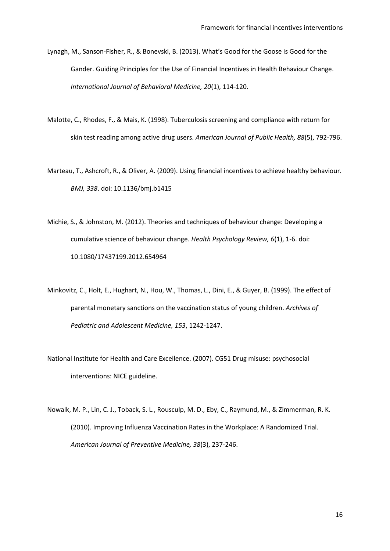- <span id="page-15-7"></span><span id="page-15-1"></span>Lynagh, M., Sanson-Fisher, R., & Bonevski, B. (2013). What's Good for the Goose is Good for the Gander. Guiding Principles for the Use of Financial Incentives in Health Behaviour Change. *International Journal of Behavioral Medicine, 20*(1), 114-120.
- <span id="page-15-6"></span>Malotte, C., Rhodes, F., & Mais, K. (1998). Tuberculosis screening and compliance with return for skin test reading among active drug users. *American Journal of Public Health, 88*(5), 792-796.
- <span id="page-15-3"></span>Marteau, T., Ashcroft, R., & Oliver, A. (2009). Using financial incentives to achieve healthy behaviour. *BMJ, 338*. doi: 10.1136/bmj.b1415
- <span id="page-15-2"></span>Michie, S., & Johnston, M. (2012). Theories and techniques of behaviour change: Developing a cumulative science of behaviour change. *Health Psychology Review, 6*(1), 1-6. doi: 10.1080/17437199.2012.654964
- <span id="page-15-5"></span>Minkovitz, C., Holt, E., Hughart, N., Hou, W., Thomas, L., Dini, E., & Guyer, B. (1999). The effect of parental monetary sanctions on the vaccination status of young children. *Archives of Pediatric and Adolescent Medicine, 153*, 1242-1247.
- <span id="page-15-0"></span>National Institute for Health and Care Excellence. (2007). CG51 Drug misuse: psychosocial interventions: NICE guideline.
- <span id="page-15-4"></span>Nowalk, M. P., Lin, C. J., Toback, S. L., Rousculp, M. D., Eby, C., Raymund, M., & Zimmerman, R. K. (2010). Improving Influenza Vaccination Rates in the Workplace: A Randomized Trial. *American Journal of Preventive Medicine, 38*(3), 237-246.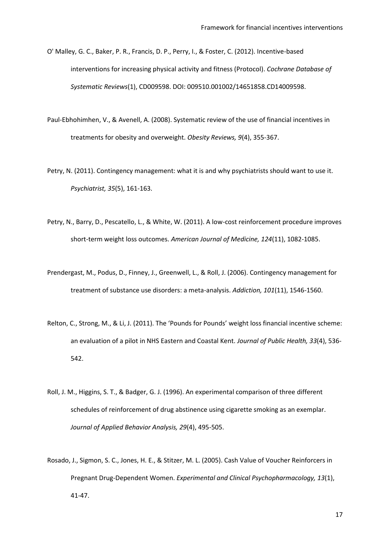- <span id="page-16-8"></span><span id="page-16-2"></span>O' Malley, G. C., Baker, P. R., Francis, D. P., Perry, I., & Foster, C. (2012). Incentive-based interventions for increasing physical activity and fitness (Protocol). *Cochrane Database of Systematic Reviews*(1), CD009598. DOI: 009510.001002/14651858.CD14009598.
- <span id="page-16-3"></span>Paul-Ebhohimhen, V., & Avenell, A. (2008). Systematic review of the use of financial incentives in treatments for obesity and overweight. *Obesity Reviews, 9*(4), 355-367.
- <span id="page-16-9"></span><span id="page-16-4"></span>Petry, N. (2011). Contingency management: what it is and why psychiatrists should want to use it. *Psychiatrist, 35*(5), 161-163.
- <span id="page-16-5"></span>Petry, N., Barry, D., Pescatello, L., & White, W. (2011). A low-cost reinforcement procedure improves short-term weight loss outcomes. *American Journal of Medicine, 124*(11), 1082-1085.
- <span id="page-16-1"></span>Prendergast, M., Podus, D., Finney, J., Greenwell, L., & Roll, J. (2006). Contingency management for treatment of substance use disorders: a meta-analysis. *Addiction, 101*(11), 1546-1560.
- <span id="page-16-0"></span>Relton, C., Strong, M., & Li, J. (2011). The 'Pounds for Pounds' weight loss financial incentive scheme: an evaluation of a pilot in NHS Eastern and Coastal Kent. *Journal of Public Health, 33*(4), 536- 542.
- <span id="page-16-6"></span>Roll, J. M., Higgins, S. T., & Badger, G. J. (1996). An experimental comparison of three different schedules of reinforcement of drug abstinence using cigarette smoking as an exemplar. *Journal of Applied Behavior Analysis, 29*(4), 495-505.
- <span id="page-16-7"></span>Rosado, J., Sigmon, S. C., Jones, H. E., & Stitzer, M. L. (2005). Cash Value of Voucher Reinforcers in Pregnant Drug-Dependent Women. *Experimental and Clinical Psychopharmacology, 13*(1), 41-47.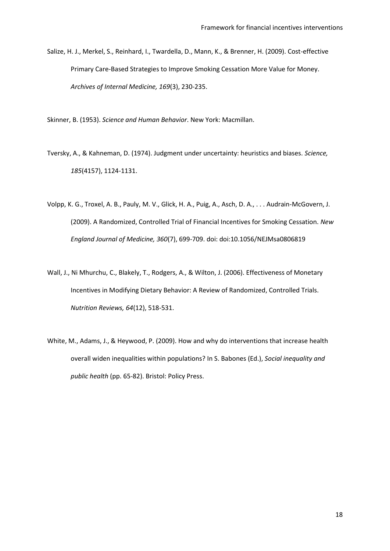<span id="page-17-6"></span><span id="page-17-4"></span>Salize, H. J., Merkel, S., Reinhard, I., Twardella, D., Mann, K., & Brenner, H. (2009). Cost-effective Primary Care-Based Strategies to Improve Smoking Cessation More Value for Money. *Archives of Internal Medicine, 169*(3), 230-235.

<span id="page-17-1"></span>Skinner, B. (1953). *Science and Human Behavior*. New York: Macmillan.

- <span id="page-17-5"></span>Tversky, A., & Kahneman, D. (1974). Judgment under uncertainty: heuristics and biases. *Science, 185*(4157), 1124-1131.
- <span id="page-17-2"></span>Volpp, K. G., Troxel, A. B., Pauly, M. V., Glick, H. A., Puig, A., Asch, D. A., . . . Audrain-McGovern, J. (2009). A Randomized, Controlled Trial of Financial Incentives for Smoking Cessation. *New England Journal of Medicine, 360*(7), 699-709. doi: doi:10.1056/NEJMsa0806819
- <span id="page-17-0"></span>Wall, J., Ni Mhurchu, C., Blakely, T., Rodgers, A., & Wilton, J. (2006). Effectiveness of Monetary Incentives in Modifying Dietary Behavior: A Review of Randomized, Controlled Trials. *Nutrition Reviews, 64*(12), 518-531.
- <span id="page-17-3"></span>White, M., Adams, J., & Heywood, P. (2009). How and why do interventions that increase health overall widen inequalities within populations? In S. Babones (Ed.), *Social inequality and public health* (pp. 65-82). Bristol: Policy Press.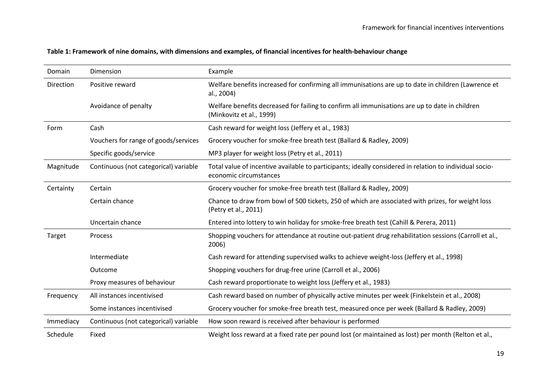## **Table 1: Framework of nine domains, with dimensions and examples, of financial incentives for health-behaviour change**

| Domain    | Dimension                             | Example                                                                                                                           |  |
|-----------|---------------------------------------|-----------------------------------------------------------------------------------------------------------------------------------|--|
| Direction | Positive reward                       | Welfare benefits increased for confirming all immunisations are up to date in children (Lawrence et<br>al., 2004)                 |  |
|           | Avoidance of penalty                  | Welfare benefits decreased for failing to confirm all immunisations are up to date in children<br>(Minkovitz et al., 1999)        |  |
| Form      | Cash                                  | Cash reward for weight loss (Jeffery et al., 1983)                                                                                |  |
|           | Vouchers for range of goods/services  | Grocery voucher for smoke-free breath test (Ballard & Radley, 2009)                                                               |  |
|           | Specific goods/service                | MP3 player for weight loss (Petry et al., 2011)                                                                                   |  |
| Magnitude | Continuous (not categorical) variable | Total value of incentive available to participants; ideally considered in relation to individual socio-<br>economic circumstances |  |
| Certainty | Certain                               | Grocery voucher for smoke-free breath test (Ballard & Radley, 2009)                                                               |  |
|           | Certain chance                        | Chance to draw from bowl of 500 tickets, 250 of which are associated with prizes, for weight loss<br>(Petry et al., 2011)         |  |
|           | Uncertain chance                      | Entered into lottery to win holiday for smoke-free breath test (Cahill & Perera, 2011)                                            |  |
| Target    | Process                               | Shopping vouchers for attendance at routine out-patient drug rehabilitation sessions (Carroll et al.,<br>2006)                    |  |
|           | Intermediate                          | Cash reward for attending supervised walks to achieve weight-loss (Jeffery et al., 1998)                                          |  |
|           | Outcome                               | Shopping vouchers for drug-free urine (Carroll et al., 2006)                                                                      |  |
|           | Proxy measures of behaviour           | Cash reward proportionate to weight loss (Jeffery et al., 1983)                                                                   |  |
| Frequency | All instances incentivised            | Cash reward based on number of physically active minutes per week (Finkelstein et al., 2008)                                      |  |
|           | Some instances incentivised           | Grocery voucher for smoke-free breath test, measured once per week (Ballard & Radley, 2009)                                       |  |
| Immediacy | Continuous (not categorical) variable | How soon reward is received after behaviour is performed                                                                          |  |
| Schedule  | Fixed                                 | Weight loss reward at a fixed rate per pound lost (or maintained as lost) per month (Relton et al.,                               |  |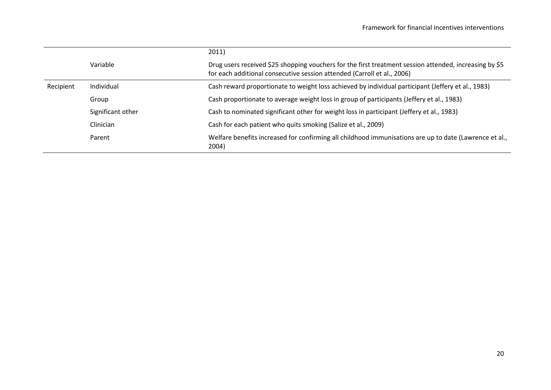|           |                   | 2011)                                                                                                                                                                             |  |
|-----------|-------------------|-----------------------------------------------------------------------------------------------------------------------------------------------------------------------------------|--|
|           | Variable          | Drug users received \$25 shopping vouchers for the first treatment session attended, increasing by \$5<br>for each additional consecutive session attended (Carroll et al., 2006) |  |
| Recipient | Individual        | Cash reward proportionate to weight loss achieved by individual participant (Jeffery et al., 1983)                                                                                |  |
|           | Group             | Cash proportionate to average weight loss in group of participants (Jeffery et al., 1983)                                                                                         |  |
|           | Significant other | Cash to nominated significant other for weight loss in participant (Jeffery et al., 1983)                                                                                         |  |
|           | <b>Clinician</b>  | Cash for each patient who quits smoking (Salize et al., 2009)                                                                                                                     |  |
|           | Parent            | Welfare benefits increased for confirming all childhood immunisations are up to date (Lawrence et al.,<br>2004)                                                                   |  |